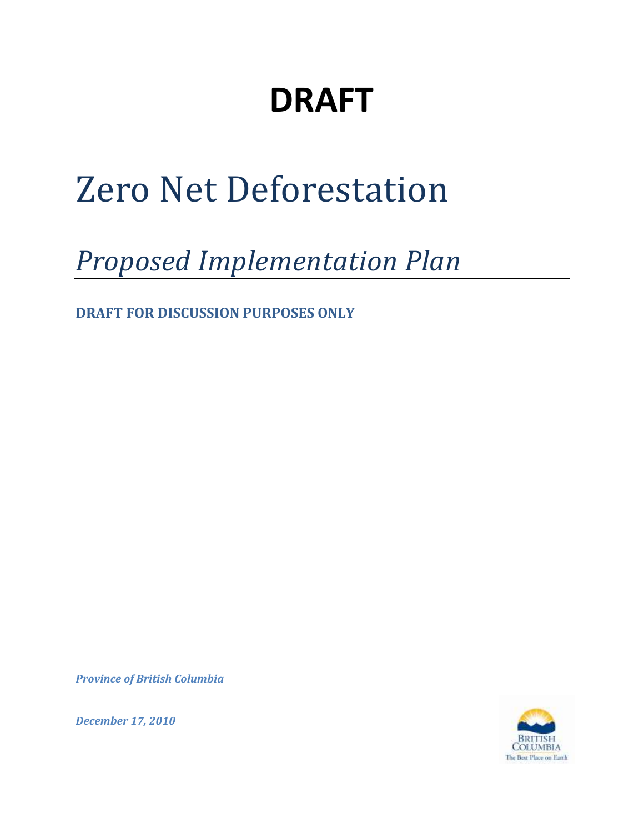## **DRAFT**

# Zero Net Deforestation

## *Proposed Implementation Plan*

**DRAFT FOR DISCUSSION PURPOSES ONLY**

*Province of British Columbia*



*December 17, 2010*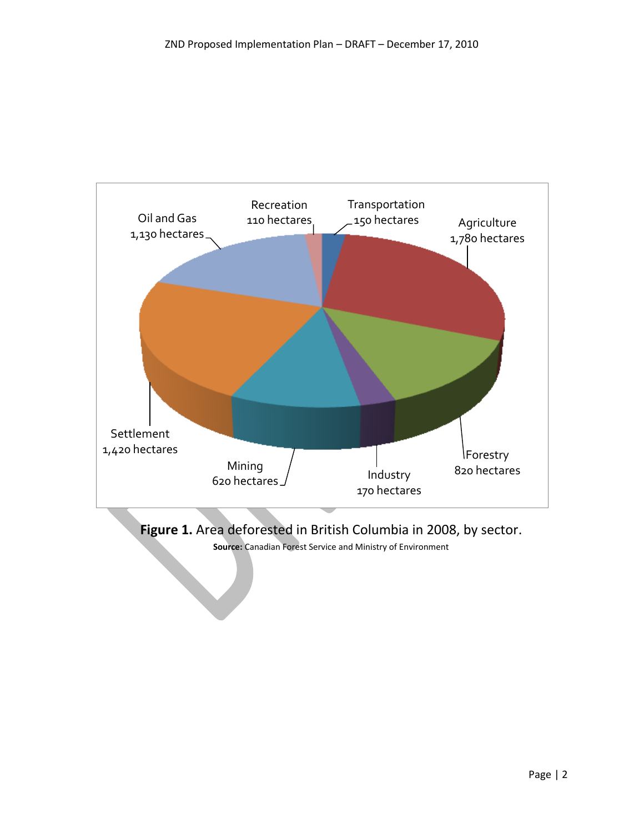

**Figure 1.** Area deforested in British Columbia in 2008, by sector.

**Source:** Canadian Forest Service and Ministry of Environment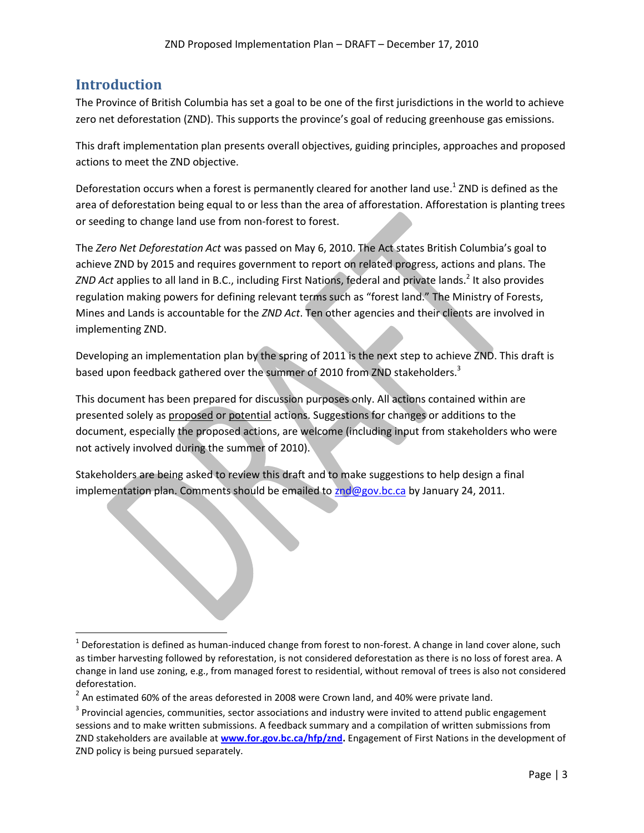## **Introduction**

 $\overline{a}$ 

The Province of British Columbia has set a goal to be one of the first jurisdictions in the world to achieve zero net deforestation (ZND). This supports the province's goal of reducing greenhouse gas emissions.

This draft implementation plan presents overall objectives, guiding principles, approaches and proposed actions to meet the ZND objective.

Deforestation occurs when a forest is permanently cleared for another land use.<sup>1</sup> ZND is defined as the area of deforestation being equal to or less than the area of afforestation. Afforestation is planting trees or seeding to change land use from non-forest to forest.

The *Zero Net Deforestation Act* was passed on May 6, 2010. The Act states British Columbia's goal to achieve ZND by 2015 and requires government to report on related progress, actions and plans. The ZND Act applies to all land in B.C., including First Nations, federal and private lands.<sup>2</sup> It also provides regulation making powers for defining relevant terms such as "forest land." The Ministry of Forests, Mines and Lands is accountable for the *ZND Act*. Ten other agencies and their clients are involved in implementing ZND.

Developing an implementation plan by the spring of 2011 is the next step to achieve ZND. This draft is based upon feedback gathered over the summer of 2010 from ZND stakeholders.<sup>3</sup>

This document has been prepared for discussion purposes only. All actions contained within are presented solely as proposed or potential actions. Suggestions for changes or additions to the document, especially the proposed actions, are welcome (including input from stakeholders who were not actively involved during the summer of 2010).

Stakeholders are being asked to review this draft and to make suggestions to help design a final implementation plan. Comments should be emailed to  $znd@gov.bc.ca$  by January 24, 2011.

 $1$  Deforestation is defined as human-induced change from forest to non-forest. A change in land cover alone, such as timber harvesting followed by reforestation, is not considered deforestation as there is no loss of forest area. A change in land use zoning, e.g., from managed forest to residential, without removal of trees is also not considered deforestation.

 $^2$  An estimated 60% of the areas deforested in 2008 were Crown land, and 40% were private land.

 $3$  Provincial agencies, communities, sector associations and industry were invited to attend public engagement sessions and to make written submissions. A feedback summary and a compilation of written submissions from ZND stakeholders are available at **[www.for.gov.bc.ca/hfp/znd.](http://www.for.gov.bc.ca/hfp/znd)** Engagement of First Nations in the development of ZND policy is being pursued separately.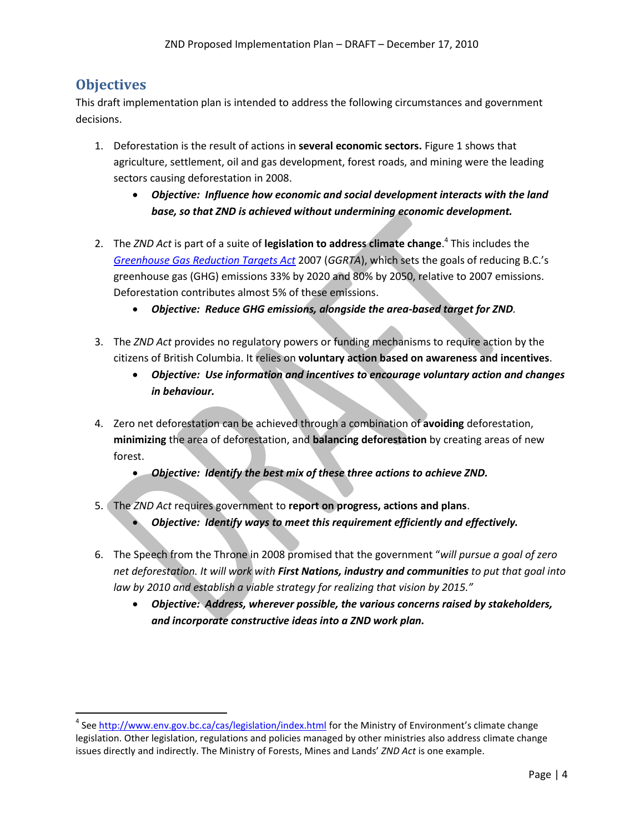## **Objectives**

 $\overline{\phantom{a}}$ 

This draft implementation plan is intended to address the following circumstances and government decisions.

- 1. Deforestation is the result of actions in **several economic sectors.** Figure 1 shows that agriculture, settlement, oil and gas development, forest roads, and mining were the leading sectors causing deforestation in 2008.
	- *Objective: Influence how economic and social development interacts with the land base, so that ZND is achieved without undermining economic development.*
- 2. The *ZND Act* is part of a suite of **legislation to address climate change**. 4 This includes the *[Greenhouse Gas Reduction Targets Act](http://www.bclaws.ca/EPLibraries/bclaws_new/document/ID/freeside/00_07042_01#section1)* 2007 (*GGRTA*), which sets the goals of reducing B.C.'s greenhouse gas (GHG) emissions 33% by 2020 and 80% by 2050, relative to 2007 emissions. Deforestation contributes almost 5% of these emissions.
	- *Objective: Reduce GHG emissions, alongside the area-based target for ZND.*
- 3. The *ZND Act* provides no regulatory powers or funding mechanisms to require action by the citizens of British Columbia. It relies on **voluntary action based on awareness and incentives**.
	- *Objective: Use information and incentives to encourage voluntary action and changes in behaviour.*
- 4. Zero net deforestation can be achieved through a combination of **avoiding** deforestation, **minimizing** the area of deforestation, and **balancing deforestation** by creating areas of new forest.
	- *Objective: Identify the best mix of these three actions to achieve ZND.*
- 5. The *ZND Act* requires government to **report on progress, actions and plans**.
	- *Objective: Identify ways to meet this requirement efficiently and effectively.*
- 6. The Speech from the Throne in 2008 promised that the government "*will pursue a goal of zero net deforestation. It will work with First Nations, industry and communities to put that goal into law by 2010 and establish a viable strategy for realizing that vision by 2015."*
	- *Objective: Address, wherever possible, the various concerns raised by stakeholders, and incorporate constructive ideas into a ZND work plan.*

<sup>&</sup>lt;sup>4</sup> See<http://www.env.gov.bc.ca/cas/legislation/index.html> for the Ministry of Environment's climate change legislation. Other legislation, regulations and policies managed by other ministries also address climate change issues directly and indirectly. The Ministry of Forests, Mines and Lands' *ZND Act* is one example.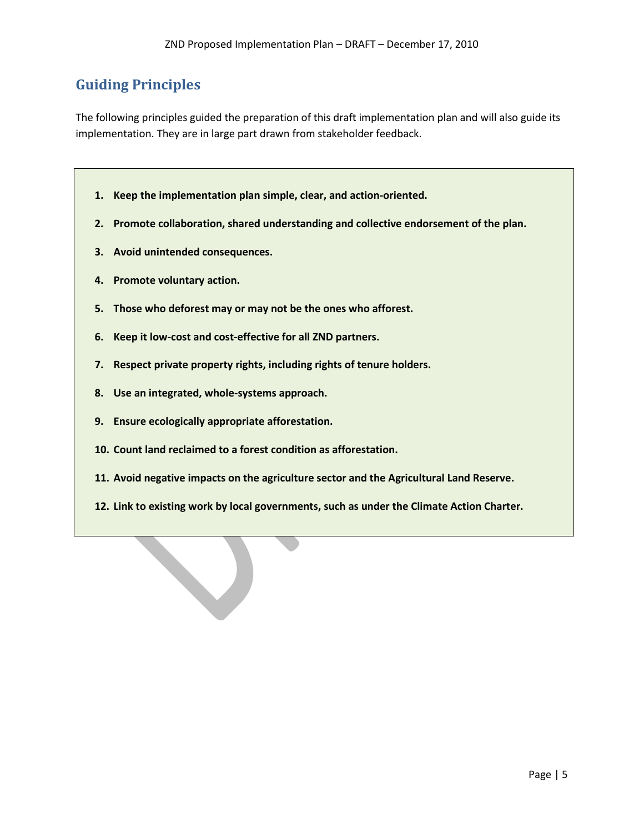## **Guiding Principles**

The following principles guided the preparation of this draft implementation plan and will also guide its implementation. They are in large part drawn from stakeholder feedback.

- **1. Keep the implementation plan simple, clear, and action-oriented.**
- **2. Promote collaboration, shared understanding and collective endorsement of the plan.**
- **3. Avoid unintended consequences.**
- **4. Promote voluntary action.**
- **5. Those who deforest may or may not be the ones who afforest.**
- **6. Keep it low-cost and cost-effective for all ZND partners.**
- **7. Respect private property rights, including rights of tenure holders.**
- **8. Use an integrated, whole-systems approach.**
- **9. Ensure ecologically appropriate afforestation.**
- **10. Count land reclaimed to a forest condition as afforestation.**
- **11. Avoid negative impacts on the agriculture sector and the Agricultural Land Reserve.**
- **12. Link to existing work by local governments, such as under the Climate Action Charter.**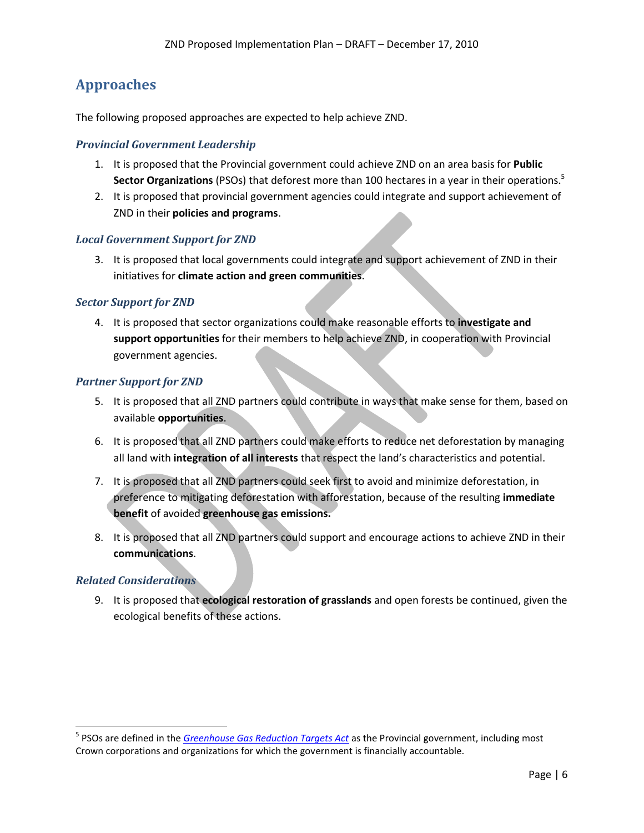## **Approaches**

The following proposed approaches are expected to help achieve ZND.

#### *Provincial Government Leadership*

- 1. It is proposed that the Provincial government could achieve ZND on an area basis for **Public Sector Organizations** (PSOs) that deforest more than 100 hectares in a year in their operations. 5
- 2. It is proposed that provincial government agencies could integrate and support achievement of ZND in their **policies and programs**.

#### *Local Government Support for ZND*

3. It is proposed that local governments could integrate and support achievement of ZND in their initiatives for **climate action and green communities**.

#### *Sector Support for ZND*

4. It is proposed that sector organizations could make reasonable efforts to **investigate and support opportunities** for their members to help achieve ZND, in cooperation with Provincial government agencies.

#### *Partner Support for ZND*

- 5. It is proposed that all ZND partners could contribute in ways that make sense for them, based on available **opportunities**.
- 6. It is proposed that all ZND partners could make efforts to reduce net deforestation by managing all land with **integration of all interests** that respect the land's characteristics and potential.
- 7. It is proposed that all ZND partners could seek first to avoid and minimize deforestation, in preference to mitigating deforestation with afforestation, because of the resulting **immediate benefit** of avoided **greenhouse gas emissions.**
- 8. It is proposed that all ZND partners could support and encourage actions to achieve ZND in their **communications**.

#### *Related Considerations*

l

9. It is proposed that **ecological restoration of grasslands** and open forests be continued, given the ecological benefits of these actions.

<sup>&</sup>lt;sup>5</sup> PSOs are defined in the *[Greenhouse Gas Reduction Targets Act](http://www.bclaws.ca/EPLibraries/bclaws_new/document/ID/freeside/00_07042_01#section1)* as the Provincial government, including most Crown corporations and organizations for which the government is financially accountable.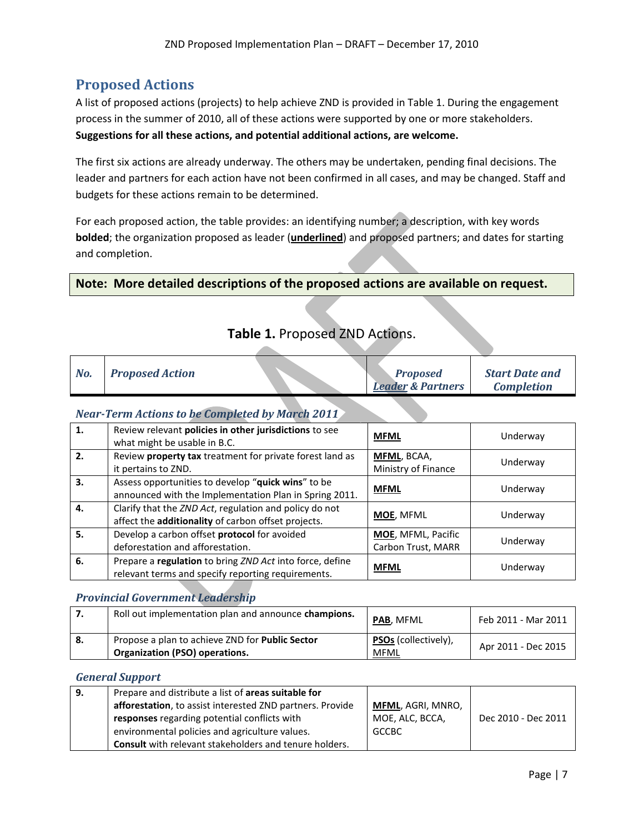## **Proposed Actions**

A list of proposed actions (projects) to help achieve ZND is provided in Table 1. During the engagement process in the summer of 2010, all of these actions were supported by one or more stakeholders. **Suggestions for all these actions, and potential additional actions, are welcome.**

The first six actions are already underway. The others may be undertaken, pending final decisions. The leader and partners for each action have not been confirmed in all cases, and may be changed. Staff and budgets for these actions remain to be determined.

For each proposed action, the table provides: an identifying number; a description, with key words **bolded**; the organization proposed as leader (**underlined**) and proposed partners; and dates for starting and completion.

#### **Note: More detailed descriptions of the proposed actions are available on request.**

**Allen** 

| No. | <b>Proposed Action</b> | <b>Proposed</b><br><b>Leader &amp; Partners</b> | <b>Start Date and</b><br><b>Completion</b> |
|-----|------------------------|-------------------------------------------------|--------------------------------------------|

### **Table 1.** Proposed ZND Actions.

#### *Near-Term Actions to be Completed by March 2011*

| 1. | Review relevant policies in other jurisdictions to see<br>what might be usable in B.C.                         | <b>MFML</b>                               | Underway |
|----|----------------------------------------------------------------------------------------------------------------|-------------------------------------------|----------|
| 2. | Review property tax treatment for private forest land as<br>it pertains to ZND.                                | <b>MFML, BCAA,</b><br>Ministry of Finance | Underway |
| 3. | Assess opportunities to develop "quick wins" to be<br>announced with the Implementation Plan in Spring 2011.   | <b>MFML</b>                               | Underway |
| 4. | Clarify that the ZND Act, regulation and policy do not<br>affect the additionality of carbon offset projects.  | <b>MOE, MFML</b>                          | Underway |
| 5. | Develop a carbon offset protocol for avoided<br>deforestation and afforestation.                               | MOE, MFML, Pacific<br>Carbon Trust, MARR  | Underway |
| 6. | Prepare a regulation to bring ZND Act into force, define<br>relevant terms and specify reporting requirements. | <b>MFML</b>                               | Underway |

#### *Provincial Government Leadership*

| l 7. | Roll out implementation plan and announce champions.                                            | <b>PAB. MFML</b>                    | Feb 2011 - Mar 2011 |
|------|-------------------------------------------------------------------------------------------------|-------------------------------------|---------------------|
| - 8. | Propose a plan to achieve ZND for <b>Public Sector</b><br><b>Organization (PSO) operations.</b> | <b>PSOs</b> (collectively),<br>MFML | Apr 2011 - Dec 2015 |

#### *General Support*

| 9. | Prepare and distribute a list of areas suitable for           |                          |                     |
|----|---------------------------------------------------------------|--------------------------|---------------------|
|    | afforestation, to assist interested ZND partners. Provide     | <b>MFML, AGRI, MNRO,</b> |                     |
|    | responses regarding potential conflicts with                  | MOE, ALC, BCCA,          | Dec 2010 - Dec 2011 |
|    | environmental policies and agriculture values.                | <b>GCCBC</b>             |                     |
|    | <b>Consult</b> with relevant stakeholders and tenure holders. |                          |                     |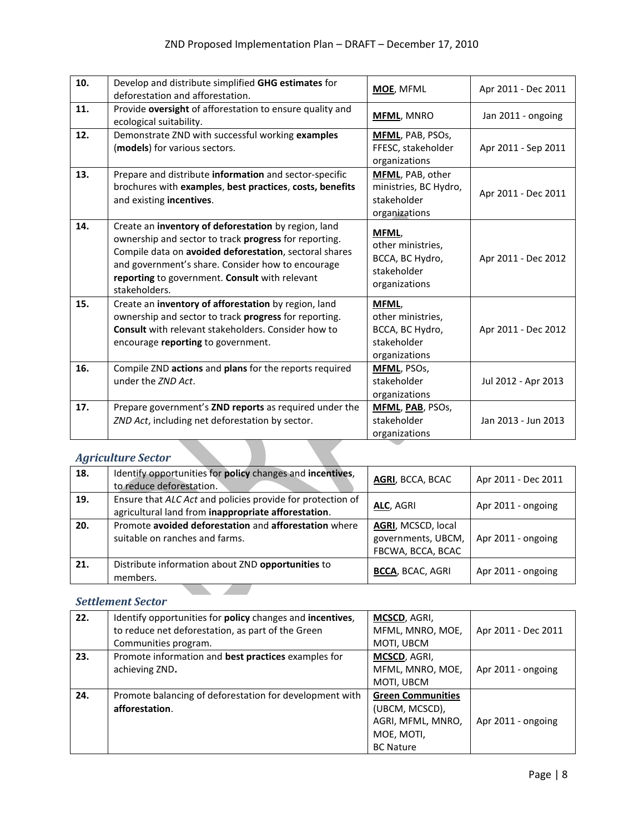| 10. | Develop and distribute simplified GHG estimates for<br>deforestation and afforestation.                                                                                                                                                                                                         | MOE, MFML                                                                     | Apr 2011 - Dec 2011 |
|-----|-------------------------------------------------------------------------------------------------------------------------------------------------------------------------------------------------------------------------------------------------------------------------------------------------|-------------------------------------------------------------------------------|---------------------|
| 11. | Provide oversight of afforestation to ensure quality and<br>ecological suitability.                                                                                                                                                                                                             | <b>MFML, MNRO</b>                                                             | Jan 2011 - ongoing  |
| 12. | Demonstrate ZND with successful working examples<br>(models) for various sectors.                                                                                                                                                                                                               | <b>MFML, PAB, PSOS,</b><br>FFESC, stakeholder<br>organizations                | Apr 2011 - Sep 2011 |
| 13. | Prepare and distribute information and sector-specific<br>brochures with examples, best practices, costs, benefits<br>and existing incentives.                                                                                                                                                  | MFML, PAB, other<br>ministries, BC Hydro,<br>stakeholder<br>organizations     | Apr 2011 - Dec 2011 |
| 14. | Create an inventory of deforestation by region, land<br>ownership and sector to track progress for reporting.<br>Compile data on avoided deforestation, sectoral shares<br>and government's share. Consider how to encourage<br>reporting to government. Consult with relevant<br>stakeholders. | MFML,<br>other ministries,<br>BCCA, BC Hydro,<br>stakeholder<br>organizations | Apr 2011 - Dec 2012 |
| 15. | Create an inventory of afforestation by region, land<br>ownership and sector to track progress for reporting.<br><b>Consult</b> with relevant stakeholders. Consider how to<br>encourage reporting to government.                                                                               | MFML,<br>other ministries,<br>BCCA, BC Hydro,<br>stakeholder<br>organizations | Apr 2011 - Dec 2012 |
| 16. | Compile ZND actions and plans for the reports required<br>under the ZND Act.                                                                                                                                                                                                                    | <b>MFML, PSOs,</b><br>stakeholder<br>organizations                            | Jul 2012 - Apr 2013 |
| 17. | Prepare government's ZND reports as required under the<br>ZND Act, including net deforestation by sector.                                                                                                                                                                                       | <b>MFML, PAB, PSOs,</b><br>stakeholder<br>organizations                       | Jan 2013 - Jun 2013 |

### *Agriculture Sector*

| 18. | Identify opportunities for policy changes and incentives,<br>to reduce deforestation.                             | AGRI, BCCA, BCAC                                              | Apr 2011 - Dec 2011 |
|-----|-------------------------------------------------------------------------------------------------------------------|---------------------------------------------------------------|---------------------|
| 19. | Ensure that ALC Act and policies provide for protection of<br>agricultural land from inappropriate afforestation. | ALC, AGRI                                                     | Apr 2011 - ongoing  |
| 20. | Promote avoided deforestation and afforestation where<br>suitable on ranches and farms.                           | AGRI, MCSCD, local<br>governments, UBCM,<br>FBCWA, BCCA, BCAC | Apr 2011 - ongoing  |
| 21. | Distribute information about ZND opportunities to<br>members.                                                     | <b>BCCA, BCAC, AGRI</b>                                       | Apr 2011 - ongoing  |

## *Settlement Sector*

| 22. | Identify opportunities for policy changes and incentives, | <b>MCSCD</b> , AGRI,     |                     |
|-----|-----------------------------------------------------------|--------------------------|---------------------|
|     | to reduce net deforestation, as part of the Green         | MFML, MNRO, MOE,         | Apr 2011 - Dec 2011 |
|     | Communities program.                                      | MOTI, UBCM               |                     |
| 23. | Promote information and best practices examples for       | MCSCD, AGRI,             |                     |
|     | achieving ZND.                                            | MFML, MNRO, MOE,         | Apr 2011 - ongoing  |
|     |                                                           | MOTI, UBCM               |                     |
| 24. | Promote balancing of deforestation for development with   | <b>Green Communities</b> |                     |
|     | afforestation.                                            | (UBCM, MCSCD),           |                     |
|     |                                                           | AGRI, MFML, MNRO,        | Apr 2011 - ongoing  |
|     |                                                           | MOE, MOTI,               |                     |
|     |                                                           | <b>BC Nature</b>         |                     |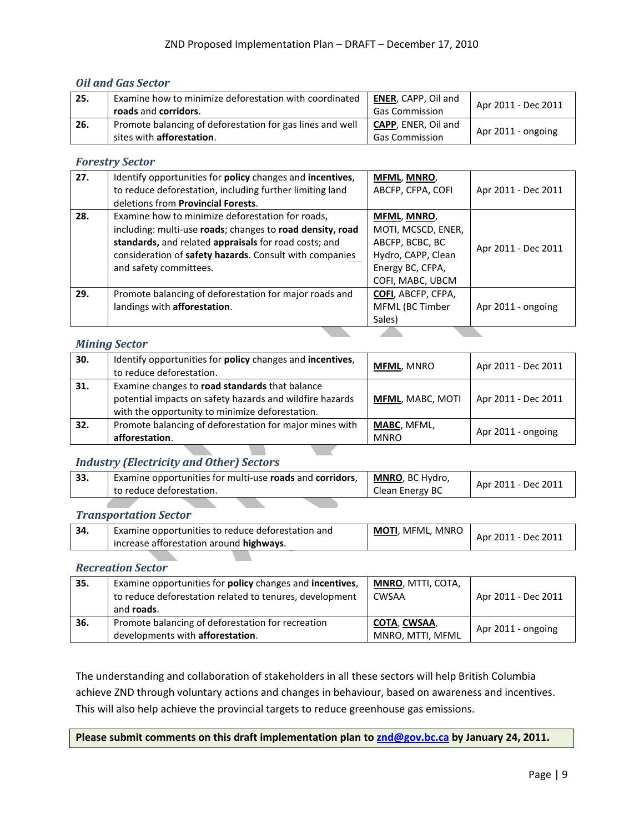#### *Oil and Gas Sector*

| 25. | Examine how to minimize deforestation with coordinated<br>roads and corridors.                 | <b>ENER, CAPP, Oil and</b><br><b>Gas Commission</b> | Apr 2011 - Dec 2011 |
|-----|------------------------------------------------------------------------------------------------|-----------------------------------------------------|---------------------|
| 26. | Promote balancing of deforestation for gas lines and well<br>sites with <b>afforestation</b> . | <b>CAPP, ENER, Oil and</b><br><b>Gas Commission</b> | Apr 2011 - ongoing  |

#### *Forestry Sector*

| 27. | Identify opportunities for policy changes and incentives,<br>to reduce deforestation, including further limiting land<br>deletions from <b>Provincial Forests</b> .                                                                                         | <b>MFML, MNRO,</b><br>ABCFP, CFPA, COFI                                                                            | Apr 2011 - Dec 2011 |
|-----|-------------------------------------------------------------------------------------------------------------------------------------------------------------------------------------------------------------------------------------------------------------|--------------------------------------------------------------------------------------------------------------------|---------------------|
| 28. | Examine how to minimize deforestation for roads,<br>including: multi-use roads; changes to road density, road<br>standards, and related appraisals for road costs; and<br>consideration of safety hazards. Consult with companies<br>and safety committees. | MFML, MNRO,<br>MOTI, MCSCD, ENER,<br>ABCFP, BCBC, BC<br>Hydro, CAPP, Clean<br>Energy BC, CFPA,<br>COFI, MABC, UBCM | Apr 2011 - Dec 2011 |
| 29. | Promote balancing of deforestation for major roads and<br>landings with afforestation.                                                                                                                                                                      | <b>COFI</b> , ABCFP, CFPA,<br>MFML (BC Timber<br>Sales)                                                            | Apr 2011 - ongoing  |

#### *Mining Sector*

| 30. | Identify opportunities for policy changes and incentives,<br>to reduce deforestation.                                                                         | <b>MFML, MNRO</b>                 | Apr 2011 - Dec 2011 |
|-----|---------------------------------------------------------------------------------------------------------------------------------------------------------------|-----------------------------------|---------------------|
| 31. | Examine changes to road standards that balance<br>potential impacts on safety hazards and wildfire hazards<br>with the opportunity to minimize deforestation. | <b>MFML, MABC, MOTI</b>           | Apr 2011 - Dec 2011 |
| 32. | Promote balancing of deforestation for major mines with<br>afforestation.                                                                                     | <b>MABC, MFML,</b><br><b>MNRO</b> | Apr 2011 - ongoing  |

#### *Industry (Electricity and Other) Sectors*

| 33. | <sup>1</sup> Examine opportunities for multi-use roads and corridors, | MNRO, BC Hydro, | Apr 2011 - Dec 2011 |
|-----|-----------------------------------------------------------------------|-----------------|---------------------|
|     | to reduce deforestation.                                              | Clean Energy BC |                     |

**College** 

#### *Transportation Sector*

| 34. | Examine opportunities to reduce deforestation and<br>increase afforestation around highways. | <b>MOTI</b> . MFML. MNRO | Apr 2011 - Dec 2011 |
|-----|----------------------------------------------------------------------------------------------|--------------------------|---------------------|
|     |                                                                                              |                          |                     |

#### *Recreation Sector*

| 35. | Examine opportunities for policy changes and incentives,<br>to reduce deforestation related to tenures, development<br>and <b>roads</b> . | <b>MNRO, MTTI, COTA,</b><br>CWSAA       | Apr 2011 - Dec 2011 |
|-----|-------------------------------------------------------------------------------------------------------------------------------------------|-----------------------------------------|---------------------|
| 36. | Promote balancing of deforestation for recreation<br>developments with afforestation.                                                     | <u>COTA, CWSAA,</u><br>MNRO, MTTI, MFML | Apr 2011 - ongoing  |

The understanding and collaboration of stakeholders in all these sectors will help British Columbia achieve ZND through voluntary actions and changes in behaviour, based on awareness and incentives. This will also help achieve the provincial targets to reduce greenhouse gas emissions.

**Please submit comments on this draft implementation plan to [znd@gov.bc.ca](file://PAPER/TNIEMANN$/PROFILE/Desktop/znd@gov.bc.ca) by January 24, 2011.**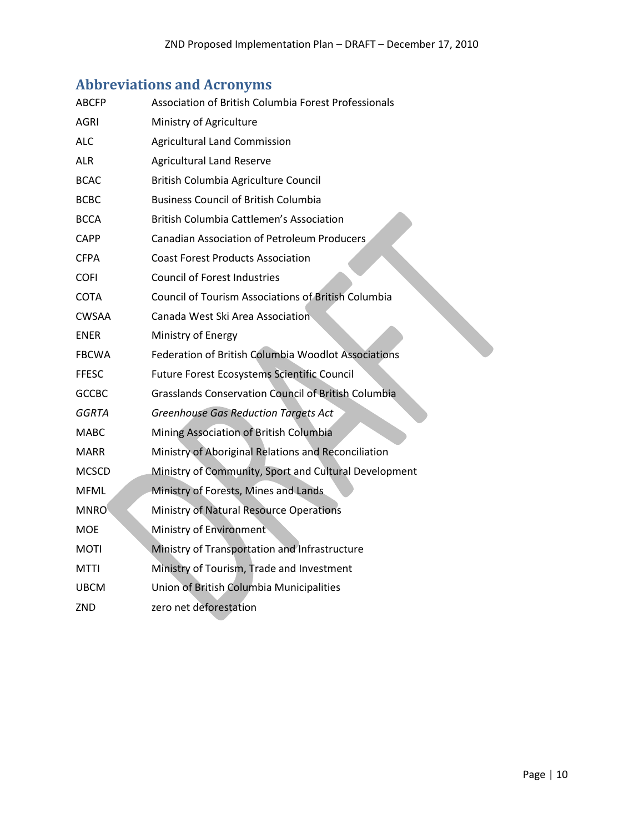## **Abbreviations and Acronyms**

| ABCFP        | Association of British Columbia Forest Professionals       |  |
|--------------|------------------------------------------------------------|--|
| <b>AGRI</b>  | Ministry of Agriculture                                    |  |
| ALC          | <b>Agricultural Land Commission</b>                        |  |
| <b>ALR</b>   | <b>Agricultural Land Reserve</b>                           |  |
| <b>BCAC</b>  | British Columbia Agriculture Council                       |  |
| <b>BCBC</b>  | <b>Business Council of British Columbia</b>                |  |
| <b>BCCA</b>  | British Columbia Cattlemen's Association                   |  |
| <b>CAPP</b>  | <b>Canadian Association of Petroleum Producers</b>         |  |
| <b>CFPA</b>  | <b>Coast Forest Products Association</b>                   |  |
| <b>COFI</b>  | <b>Council of Forest Industries</b>                        |  |
| COTA         | <b>Council of Tourism Associations of British Columbia</b> |  |
| <b>CWSAA</b> | Canada West Ski Area Association                           |  |
| <b>ENER</b>  | Ministry of Energy                                         |  |
| <b>FBCWA</b> | <b>Federation of British Columbia Woodlot Associations</b> |  |
| <b>FFESC</b> | Future Forest Ecosystems Scientific Council                |  |
| <b>GCCBC</b> | <b>Grasslands Conservation Council of British Columbia</b> |  |
| GGRTA        | <b>Greenhouse Gas Reduction Targets Act</b>                |  |
| <b>MABC</b>  | Mining Association of British Columbia                     |  |
| <b>MARR</b>  | Ministry of Aboriginal Relations and Reconciliation        |  |
| <b>MCSCD</b> | Ministry of Community, Sport and Cultural Development      |  |
| <b>MFML</b>  | Ministry of Forests, Mines and Lands                       |  |
| <b>MNRO</b>  | Ministry of Natural Resource Operations                    |  |
| <b>MOE</b>   | Ministry of Environment                                    |  |
| <b>MOTI</b>  | Ministry of Transportation and Infrastructure              |  |
| MTTI         | Ministry of Tourism, Trade and Investment                  |  |
| <b>UBCM</b>  | Union of British Columbia Municipalities                   |  |
| ZND          | zero net deforestation                                     |  |